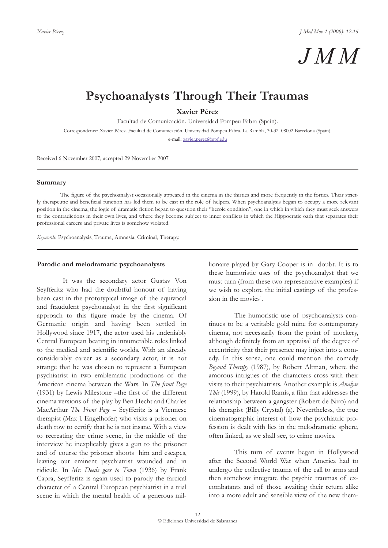

# **Psychoanalysts Through Their Traumas**

**Xavier Pérez**

Facultad de Comunicación. Universidad Pompeu Fabra (Spain).

Correspondence: Xavier Pérez. Facultad de Comunicación. Universidad Pompeu Fabra. La Rambla, 30-32. 08002 Barcelona (Spain).

e-mail: xavier.perez@upf.edu

Received 6 November 2007; accepted 29 November 2007

#### **Summary**

The figure of the psychoanalyst occasionally appeared in the cinema in the thirties and more frequently in the forties. Their strictly therapeutic and beneficial function has led them to be cast in the role of helpers. When psychoanalysis began to occupy a more relevant position in the cinema, the logic of dramatic fiction began to question their "heroic condition", one in which in which they must seek answers to the contradictions in their own lives, and where they become subject to inner conflicts in which the Hippocratic oath that separates their professional careers and private lives is somehow violated.

*Keywords*: Psychoanalysis, Trauma, Amnesia, Criminal, Therapy.

#### **Parodic and melodramatic psychoanalysts**

It was the secondary actor Gustav Von Seyfferitz who had the doubtful honour of having been cast in the prototypical image of the equivocal and fraudulent psychoanalyst in the first significant approach to this figure made by the cinema. Of Germanic origin and having been settled in Hollywood since 1917, the actor used his undeniably Central European bearing in innumerable roles linked to the medical and scientific worlds. With an already considerably career as a secondary actor, it is not strange that he was chosen to represent a European psychiatrist in two emblematic productions of the American cinema between the Wars. In *The front Page* (1931) by Lewis Milestone –the first of the different cinema versions of the play by Ben Hecht and Charles MacArthur *The Front Page* – Seyfferitz is a Viennese therapist (Max J. Engelhofer) who visits a prisoner on death row to certify that he is not insane. With a view to recreating the crime scene, in the middle of the interview he inexplicably gives a gun to the prisoner and of course the prisoner shoots him and escapes, leaving our eminent psychiatrist wounded and in ridicule. In *Mr. Deeds goes to Town* (1936) by Frank Capra, Seyfferitz is again used to parody the farcical character of a Central European psychiatrist in a trial scene in which the mental health of a generous millionaire played by Gary Cooper is in doubt. It is to these humoristic uses of the psychoanalyst that we must turn (from these two representative examples) if we wish to explore the initial castings of the profession in the movies1.

The humoristic use of psychoanalysts continues to be a veritable gold mine for contemporary cinema, not necessarily from the point of mockery, although definitely from an appraisal of the degree of eccentricity that their presence may inject into a comedy. In this sense, one could mention the comedy *Beyond Therapy* (1987), by Robert Altman, where the amorous intrigues of the characters cross with their visits to their psychiatrists. Another example is *Analyse This* (1999), by Harold Ramis, a film that addresses the relationship between a gangster (Robert de Niro) and his therapist (Billy Crystal) (a). Nevertheless, the true cinematographic interest of how the psychiatric profession is dealt with lies in the melodramatic sphere, often linked, as we shall see, to crime movies.

This turn of events began in Hollywood after the Second World War when America had to undergo the collective trauma of the call to arms and then somehow integrate the psychic traumas of excombatants and of those awaiting their return alike into a more adult and sensible view of the new thera-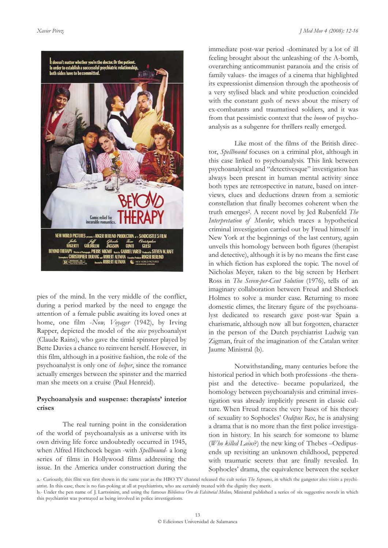

pies of the mind. In the very middle of the conflict, during a period marked by the need to engage the attention of a female public awaiting its loved ones at home, one film -*Now, Voyager* (1942), by Irving Rapper, depicted the model of the *nice* psychoanalyst (Claude Rains), who gave the timid spinster played by Bette Davies a chance to reinvent herself. However, in this film, although in a positive fashion, the role of the psychoanalyst is only one of *helper*, since the romance actually emerges between the spinster and the married man she meets on a cruise (Paul Henreid).

## **Psychoanalysis and suspense: therapists' interior crises**

The real turning point in the consideration of the world of psychoanalysis as a universe with its own driving life force undoubtedly occurred in 1945, when Alfred Hitchcock began -with *Spellbound*- a long series of films in Hollywood films addressing the issue. In the America under construction during the

immediate post-war period -dominated by a lot of ill feeling brought about the unleashing of the A-bomb, overarching anticommunist paranoia and the crisis of family values- the images of a cinema that highlighted its expressionist dimension through the apotheosis of a very stylised black and white production coincided with the constant gush of news about the misery of ex-combatants and traumatised soldiers, and it was from that pessimistic context that the *boom* of psychoanalysis as a subgenre for thrillers really emerged.

Like most of the films of the British director, *Spellbound* focuses on a criminal plot, although in this case linked to psychoanalysis. This link between psychoanalytical and "detectivesque" investigation has always been present in human mental activity since both types are retrospective in nature, based on interviews, clues and deductions drawn from a semiotic constellation that finally becomes coherent when the truth emerges2. A recent novel by Jed Rubenfeld *The Interpretation of Murder*, which traces a hypothetical criminal investigation carried out by Freud himself in New York at the beginnings of the last century, again unveils this homology between both figures (therapist and detective), although it is by no means the first case in which fiction has explored the topic. The novel of Nicholas Meyer, taken to the big screen by Herbert Ross in *The Seven-per-Cent Solution* (1976), tells of an imaginary collaboration between Freud and Sherlock Holmes to solve a murder case. Returning to more domestic climes, the literary figure of the psychoanalyst dedicated to research gave post-war Spain a charismatic, although now all but forgotten, character in the person of the Dutch psychiatrist Ludwig van Zigman, fruit of the imagination of the Catalan writer Jaume Ministral (b).

Notwithstanding, many centuries before the historical period in which both professions -the therapist and the detective- became popularized, the homology between psychoanalysis and criminal investigation was already implicitly present in classic culture. When Freud traces the very bases of his theory of sexuality to Sophocles' *Oedipus Rex*, he is analysing a drama that is no more than the first police investigation in history. In his search for someone to blame (*Who killed Laius*?) the new king of Thebes –Oedipusends up revisiting an unknown childhood, peppered with traumatic secrets that are finally revealed. In Sophocles' drama, the equivalence between the seeker

a.- Curiously, this film was first shown in the same year as the HBO TV channel released the cult series *The Sopranos*, in which the gangster also visits a psychiatrist. In this case, there is no fun-poking at all at psychiatrists, who are certainly treated with the dignity they merit.

b.- Under the pen name of J. Lartssinim, and using the famous *Biblioteca Oro de Edsitorial Molino,* Ministral published a series of six suggestive novels in which this psychiatrist was portrayed as being involved in police investigations.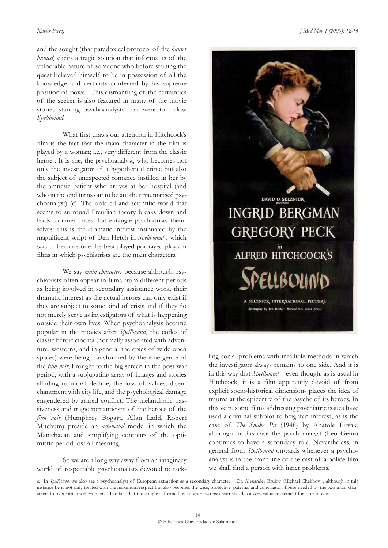and the sought (that paradoxical protocol of the *hunter hunted*) elicits a tragic solution that informs us of the vulnerable nature of someone who before starting the quest believed himself to be in possession of all the knowledge and certainty conferred by his supreme position of power. This dismantling of the certainties of the seeker is also featured in many of the movie stories starring psychoanalysts that were to follow *Spellbound*.

What first draws our attention in Hitchcock's film is the fact that the main character in the film is played by a woman; i.e., very different from the classic heroes. It is she, the psychoanalyst, who becomes not only the investigator of a hypothetical crime but also the subject of unexpected romance instilled in her by the amnesic patient who arrives at her hospital (and who in the end turns out to be another traumatised psychoanalyst) (c). The ordered and scientific world that seems to surround Freudian theory breaks down and leads to inner crises that entangle psychiatrists themselves: this is the dramatic interest insinuated by the magnificent script of Ben Hetch in *Spellbound* , which was to become one the best played portrayed ploys in films in which psychiatrists are the main characters.

We say *main characters* because although psychiatrists often appear in films from different periods as being involved in secondary assistance work, their dramatic interest as the actual heroes can only exist if they are subject to some kind of crisis and if they do not merely serve as investigators of what is happening outside their own lives. When psychoanalysis became popular in the movies after *Spellbound*, the codes of classic heroic cinema (normally associated with adventure, westerns, and in general the epics of wide open spaces) were being transformed by the emergence of the *film noir*, brought to the big screen in the post war period, with a subjugating array of images and stories alluding to moral decline, the loss of values, disenchantment with city life, and the psychological damage engendered by armed conflict. The melancholic passiveness and tragic romanticism of the heroes of the *film noir* (Humphrey Bogart, Allan Ladd, Robert Mitchum) preside an *actanctial* model in which the Manichaean and simplifying contours of the optimistic period lost all meaning.

So we are a long way away from an imaginary world of respectable psychoanalists devoted to tack-



ling social problems with infallible methods in which the investigator always remains to one side. And it is in this way that *Spellbound* – even though, as is usual in Hitchcock, it is a film apparently devoid of from explicit socio-historical dimension- places the idea of trauma at the epicentre of the psyche of its heroes. In this vein, some films addressing psychiatric issues have used a criminal subplot to heighten interest, as is the case of *The Snake Pit* (1948) by Anatole Litvak, although in this case the psychoanalyst (Leo Genn) continues to have a secondary role. Nevertheless, in general from *Spellbound* onwards whenever a psychoanalyst is in the front line of the cast of a police film we shall find a person with inner problems.

c.- In *Spellbound*, we also see a psychoanalyst of European extraction as a secondary character – Dr. Alexander Brulov (Michael Chekhov)-, although in this instance he is not only treated with the maximum respect but also becomes the wise, protective, paternal and conciliatory figure needed by the two main characters to overcome their problems. The fact that the couple is formed by another two psychiatrists adds a very valuable element for later movies.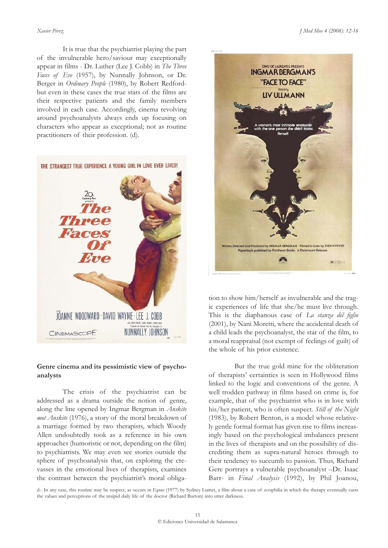It is true that the psychiatrist playing the part of the invulnerable hero/saviour may exceptionally appear in films - Dr. Luther (Lee J. Cobb) in *The Three Faces of Eve* (1957), by Nunnally Johnson, or Dr. Berger in *Ordinary People* (1980), by Robert Redfordbut even in these cases the true stars of the films are their respective patients and the family members involved in each case. Accordingly, cinema revolving around psychoanalysts always ends up focusing on characters who appear as exceptional; not as routine practitioners of their profession. (d).



# **Genre cinema and its pessimistic view of psychoanalysts**

The crisis of the psychiatrist can be addressed as a drama outside the notion of genre, along the line opened by Ingmar Bergman in *Anskite mot Anskite* (1976), a story of the moral breakdown of a marriage formed by two therapists, which Woody Allen undoubtedly took as a reference in his own approaches (humoristic or not, depending on the film) to psychiatrists. We may even see stories outside the sphere of psychoanalysis that, on exploring the crevasses in the emotional lives of therapists, examines the contrast between the psychiatrist's moral obliga-



tion to show him/herself as invulnerable and the tragic experiences of life that she/he must live through. This is the diaphanous case of *La stanza del figlio* (2001), by Nani Moretti, where the accidental death of a child leads the psychoanalyst, the star of the film, to a moral reappraisal (not exempt of feelings of guilt) of the whole of his prior existence.

But the true gold mine for the obliteration of therapists' certainties is seen in Hollywood films linked to the logic and conventions of the genre. A well trodden pathway in films based on crime is, for example, that of the psychiatrist who is in love with his/her patient, who is often suspect. *Still of the Night* (1983), by Robert Benton, is a model whose relatively gentle formal format has given rise to films increasingly based on the psychological imbalances present in the lives of therapists and on the possibility of discrediting them as supra-natural heroes through to their tendency to succumb to passion. Thus, Richard Gere portrays a vulnerable psychoanalyst –Dr. Isaac Barr- in *Final Analysis* (1992), by Phil Joanou,

d.- In any case, this routine may be suspect, as occurs in *Equus* (1977) by Sydney Lumet, a film about a case of zoophilia in which the therapy eventually casts the values and perceptions of the insipid daily life of the doctor (Richard Burton) into utter darkness.